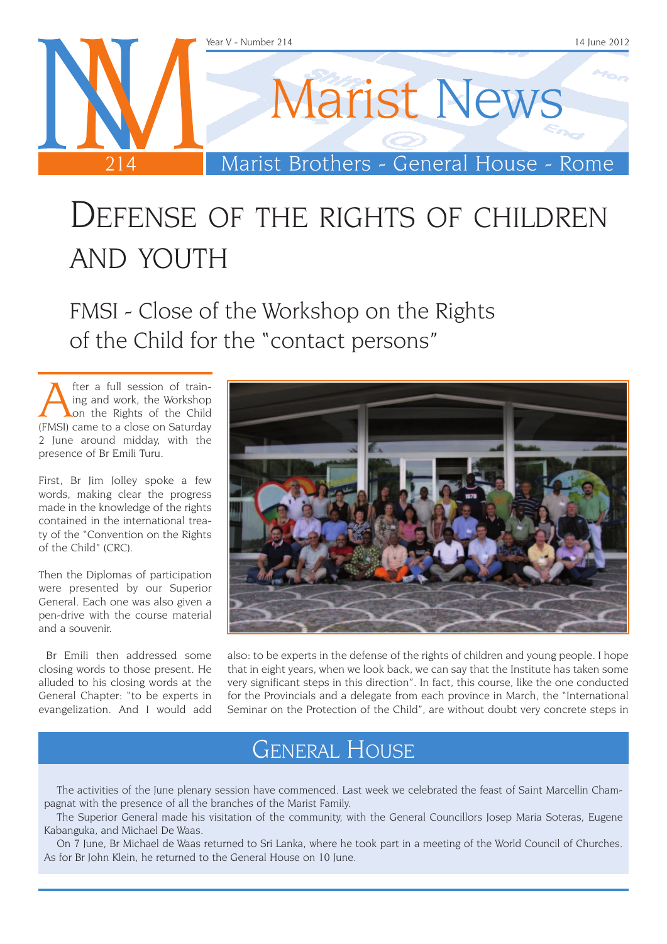

# Defense of the rights of children and you're

FMSI - Close of the Workshop on the Rights of the Child for the "contact persons"

**A** fter a full session of train-<br>
ing and work, the Workshop<br>
on the Rights of the Child<br>
EMSI) came to a close on Saturday ing and work, the Workshop (FMSI) came to a close on Saturday 2 June around midday, with the presence of Br Emili Turu.

First, Br Jim Jolley spoke a few words, making clear the progress made in the knowledge of the rights contained in the international treaty of the "Convention on the Rights of the Child" (CRC).

Then the Diplomas of participation were presented by our Superior General. Each one was also given a pen-drive with the course material and a souvenir.

 Br Emili then addressed some closing words to those present. He alluded to his closing words at the General Chapter: "to be experts in evangelization. And I would add



also: to be experts in the defense of the rights of children and young people. I hope that in eight years, when we look back, we can say that the Institute has taken some very significant steps in this direction". In fact, this course, like the one conducted for the Provincials and a delegate from each province in March, the "International Seminar on the Protection of the Child", are without doubt very concrete steps in

### General House

The activities of the June plenary session have commenced. Last week we celebrated the feast of Saint Marcellin Champagnat with the presence of all the branches of the Marist Family.

The Superior General made his visitation of the community, with the General Councillors Josep Maria Soteras, Eugene Kabanguka, and Michael De Waas.

On 7 June, Br Michael de Waas returned to Sri Lanka, where he took part in a meeting of the World Council of Churches. As for Br John Klein, he returned to the General House on 10 June.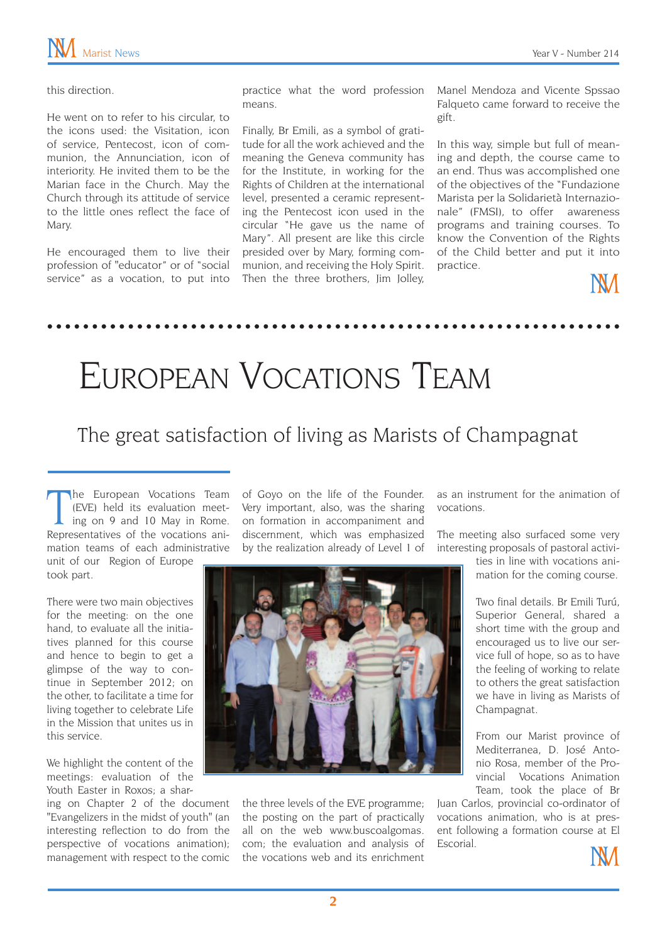#### this direction.

He went on to refer to his circular, to the icons used: the Visitation, icon of service, Pentecost, icon of communion, the Annunciation, icon of interiority. He invited them to be the Marian face in the Church. May the Church through its attitude of service to the little ones reflect the face of Mary.

He encouraged them to live their profession of "educator" or of "social service" as a vocation, to put into practice what the word profession means.

Finally, Br Emili, as a symbol of gratitude for all the work achieved and the meaning the Geneva community has for the Institute, in working for the Rights of Children at the international level, presented a ceramic representing the Pentecost icon used in the circular "He gave us the name of Mary". All present are like this circle presided over by Mary, forming communion, and receiving the Holy Spirit. Then the three brothers, Jim Jolley,

Manel Mendoza and Vicente Spssao Falqueto came forward to receive the gift.

In this way, simple but full of meaning and depth, the course came to an end. Thus was accomplished one of the objectives of the "Fundazione Marista per la Solidarietà Internazionale" (FMSI), to offer awareness programs and training courses. To know the Convention of the Rights of the Child better and put it into practice.

NИ

## European Vocations Team

#### The great satisfaction of living as Marists of Champagnat

The European Vocations Team<br>(EVE) held its evaluation meet-<br>ing on 9 and 10 May in Rome.<br>Representatives of the vocations anihe European Vocations Team (EVE) held its evaluation meeting on 9 and 10 May in Rome. mation teams of each administrative

unit of our Region of Europe took part.

There were two main objectives for the meeting: on the one hand, to evaluate all the initiatives planned for this course and hence to begin to get a glimpse of the way to continue in September 2012; on the other, to facilitate a time for living together to celebrate Life in the Mission that unites us in this service.

We highlight the content of the meetings: evaluation of the Youth Easter in Roxos; a shar-

ing on Chapter 2 of the document "Evangelizers in the midst of youth" (an interesting reflection to do from the perspective of vocations animation); management with respect to the comic of Goyo on the life of the Founder. Very important, also, was the sharing on formation in accompaniment and discernment, which was emphasized by the realization already of Level 1 of



the three levels of the EVE programme; the posting on the part of practically all on the web [www.buscoalgomas.](http://www.buscoalgomas.com) [com](http://www.buscoalgomas.com); the evaluation and analysis of the vocations web and its enrichment

as an instrument for the animation of vocations.

The meeting also surfaced some very interesting proposals of pastoral activi-

> ties in line with vocations animation for the coming course.

> Two final details. Br Emili Turú, Superior General, shared a short time with the group and encouraged us to live our service full of hope, so as to have the feeling of working to relate to others the great satisfaction we have in living as Marists of Champagnat.

> From our Marist province of Mediterranea, D. José Antonio Rosa, member of the Provincial Vocations Animation Team, took the place of Br

Juan Carlos, provincial co-ordinator of vocations animation, who is at present following a formation course at El Escorial.

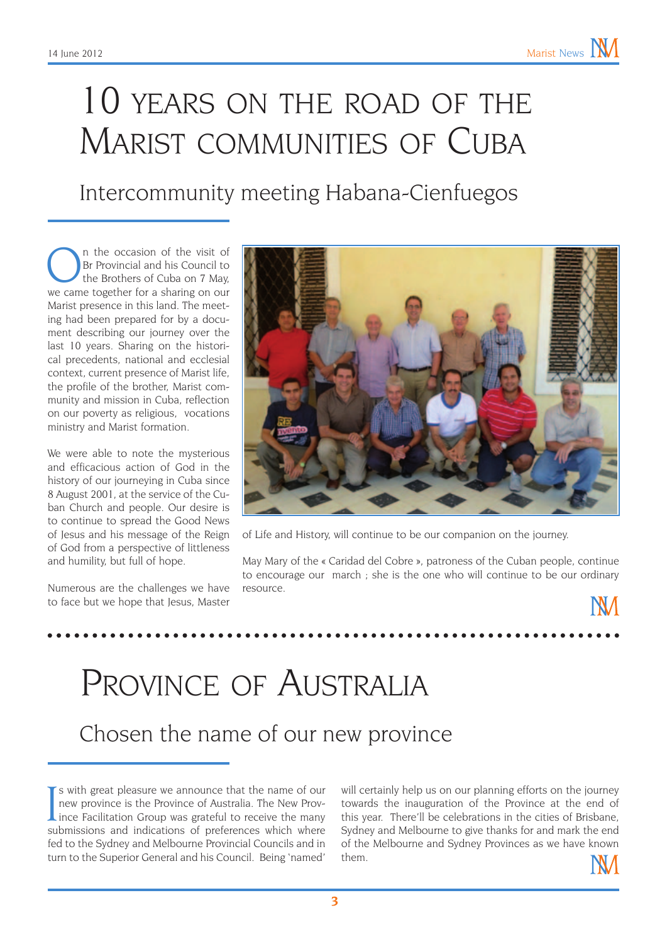# 10 years on the road of the MARIST COMMUNITIES OF CUBA

### Intercommunity meeting Habana-Cienfuegos

On the occasion of the visit of<br>Br Provincial and his Council to<br>the Brothers of Cuba on 7 May,<br>we came together for a sharing on our Br Provincial and his Council to we came together for a sharing on our Marist presence in this land. The meeting had been prepared for by a document describing our journey over the last 10 years. Sharing on the historical precedents, national and ecclesial context, current presence of Marist life, the profile of the brother, Marist community and mission in Cuba, reflection on our poverty as religious, vocations ministry and Marist formation.

We were able to note the mysterious and efficacious action of God in the history of our journeying in Cuba since 8 August 2001, at the service of the Cuban Church and people. Our desire is to continue to spread the Good News of Jesus and his message of the Reign of God from a perspective of littleness and humility, but full of hope.

Numerous are the challenges we have to face but we hope that Jesus, Master



of Life and History, will continue to be our companion on the journey.

May Mary of the « Caridad del Cobre », patroness of the Cuban people, continue to encourage our march ; she is the one who will continue to be our ordinary resource.



Chosen the name of our new province

If s with great pleasure we announce that the name of our new province is the Province of Australia. The New Province Facilitation Group was grateful to receive the many submissions and indications of preferences which whe is with great pleasure we announce that the name of our new province is the Province of Australia. The New Provsubmissions and indications of preferences which where fed to the Sydney and Melbourne Provincial Councils and in turn to the Superior General and his Council. Being 'named'

will certainly help us on our planning efforts on the journey towards the inauguration of the Province at the end of this year. There'll be celebrations in the cities of Brisbane, Sydney and Melbourne to give thanks for and mark the end of the Melbourne and Sydney Provinces as we have known them.